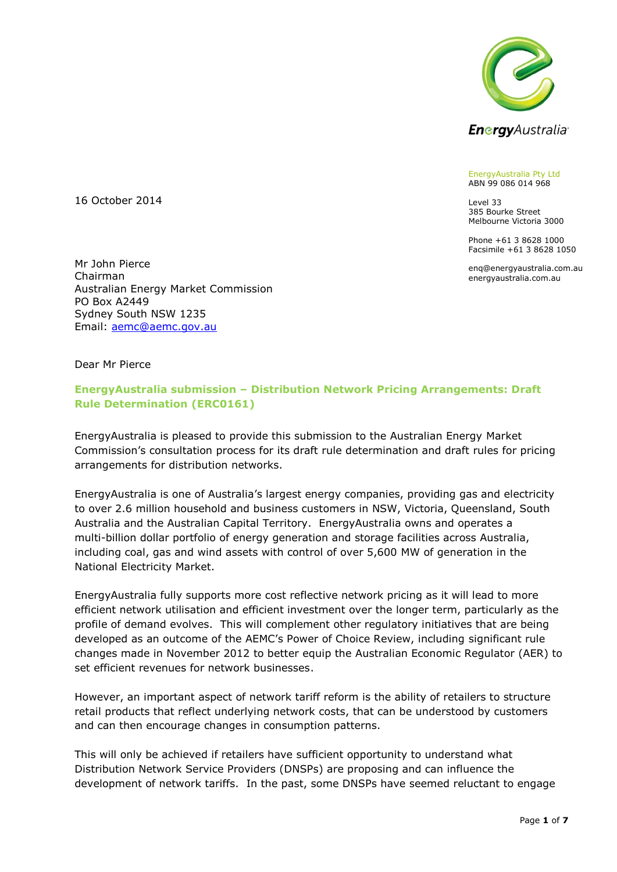

EnergyAustralia Pty Ltd ABN 99 086 014 968

Level 33 385 Bourke Street Melbourne Victoria 3000

Phone +61 3 8628 1000 Facsimile +61 3 8628 1050

enq@energyaustralia.com.au energyaustralia.com.au

16 October 2014

Mr John Pierce Chairman Australian Energy Market Commission PO Box A2449 Sydney South NSW 1235 Email: [aemc@aemc.gov.au](mailto:aemc@aemc.gov.au)

Dear Mr Pierce

## **EnergyAustralia submission – Distribution Network Pricing Arrangements: Draft Rule Determination (ERC0161)**

EnergyAustralia is pleased to provide this submission to the Australian Energy Market Commission's consultation process for its draft rule determination and draft rules for pricing arrangements for distribution networks.

EnergyAustralia is one of Australia's largest energy companies, providing gas and electricity to over 2.6 million household and business customers in NSW, Victoria, Queensland, South Australia and the Australian Capital Territory. EnergyAustralia owns and operates a multi-billion dollar portfolio of energy generation and storage facilities across Australia, including coal, gas and wind assets with control of over 5,600 MW of generation in the National Electricity Market.

EnergyAustralia fully supports more cost reflective network pricing as it will lead to more efficient network utilisation and efficient investment over the longer term, particularly as the profile of demand evolves. This will complement other regulatory initiatives that are being developed as an outcome of the AEMC's Power of Choice Review, including significant rule changes made in November 2012 to better equip the Australian Economic Regulator (AER) to set efficient revenues for network businesses.

However, an important aspect of network tariff reform is the ability of retailers to structure retail products that reflect underlying network costs, that can be understood by customers and can then encourage changes in consumption patterns.

This will only be achieved if retailers have sufficient opportunity to understand what Distribution Network Service Providers (DNSPs) are proposing and can influence the development of network tariffs. In the past, some DNSPs have seemed reluctant to engage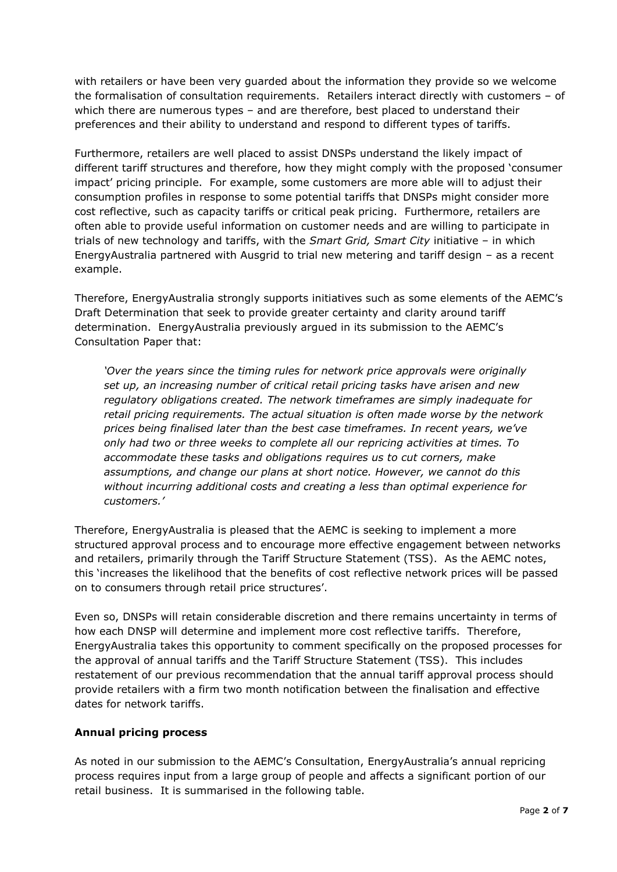with retailers or have been very guarded about the information they provide so we welcome the formalisation of consultation requirements. Retailers interact directly with customers – of which there are numerous types – and are therefore, best placed to understand their preferences and their ability to understand and respond to different types of tariffs.

Furthermore, retailers are well placed to assist DNSPs understand the likely impact of different tariff structures and therefore, how they might comply with the proposed 'consumer impact' pricing principle. For example, some customers are more able will to adjust their consumption profiles in response to some potential tariffs that DNSPs might consider more cost reflective, such as capacity tariffs or critical peak pricing. Furthermore, retailers are often able to provide useful information on customer needs and are willing to participate in trials of new technology and tariffs, with the *Smart Grid, Smart City* initiative – in which EnergyAustralia partnered with Ausgrid to trial new metering and tariff design – as a recent example.

Therefore, EnergyAustralia strongly supports initiatives such as some elements of the AEMC's Draft Determination that seek to provide greater certainty and clarity around tariff determination. EnergyAustralia previously argued in its submission to the AEMC's Consultation Paper that:

*'Over the years since the timing rules for network price approvals were originally set up, an increasing number of critical retail pricing tasks have arisen and new regulatory obligations created. The network timeframes are simply inadequate for retail pricing requirements. The actual situation is often made worse by the network prices being finalised later than the best case timeframes. In recent years, we've only had two or three weeks to complete all our repricing activities at times. To accommodate these tasks and obligations requires us to cut corners, make assumptions, and change our plans at short notice. However, we cannot do this without incurring additional costs and creating a less than optimal experience for customers.'*

Therefore, EnergyAustralia is pleased that the AEMC is seeking to implement a more structured approval process and to encourage more effective engagement between networks and retailers, primarily through the Tariff Structure Statement (TSS). As the AEMC notes, this 'increases the likelihood that the benefits of cost reflective network prices will be passed on to consumers through retail price structures'.

Even so, DNSPs will retain considerable discretion and there remains uncertainty in terms of how each DNSP will determine and implement more cost reflective tariffs. Therefore, EnergyAustralia takes this opportunity to comment specifically on the proposed processes for the approval of annual tariffs and the Tariff Structure Statement (TSS). This includes restatement of our previous recommendation that the annual tariff approval process should provide retailers with a firm two month notification between the finalisation and effective dates for network tariffs.

## **Annual pricing process**

As noted in our submission to the AEMC's Consultation, EnergyAustralia's annual repricing process requires input from a large group of people and affects a significant portion of our retail business. It is summarised in the following table.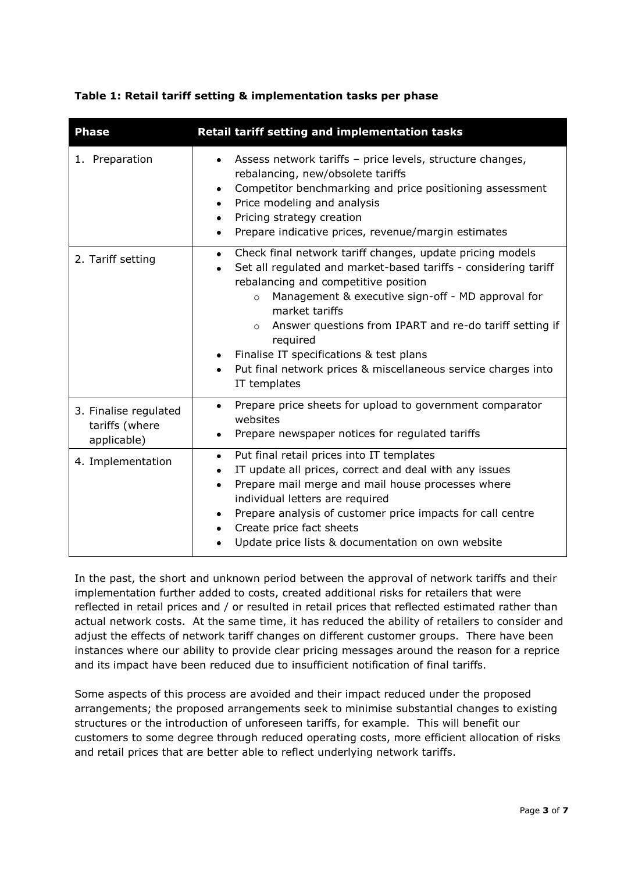|  |  | Table 1: Retail tariff setting & implementation tasks per phase |  |  |
|--|--|-----------------------------------------------------------------|--|--|
|  |  |                                                                 |  |  |

| <b>Phase</b>                                           | Retail tariff setting and implementation tasks                                                                                                                                                                                                                                                                                                                                                                                                                                                                   |  |  |  |  |  |
|--------------------------------------------------------|------------------------------------------------------------------------------------------------------------------------------------------------------------------------------------------------------------------------------------------------------------------------------------------------------------------------------------------------------------------------------------------------------------------------------------------------------------------------------------------------------------------|--|--|--|--|--|
| 1. Preparation                                         | Assess network tariffs - price levels, structure changes,<br>$\bullet$<br>rebalancing, new/obsolete tariffs<br>Competitor benchmarking and price positioning assessment<br>$\bullet$<br>Price modeling and analysis<br>$\bullet$<br>Pricing strategy creation<br>٠<br>Prepare indicative prices, revenue/margin estimates<br>٠                                                                                                                                                                                   |  |  |  |  |  |
| 2. Tariff setting                                      | Check final network tariff changes, update pricing models<br>٠<br>Set all regulated and market-based tariffs - considering tariff<br>$\bullet$<br>rebalancing and competitive position<br>Management & executive sign-off - MD approval for<br>$\circ$<br>market tariffs<br>Answer questions from IPART and re-do tariff setting if<br>$\circ$<br>required<br>Finalise IT specifications & test plans<br>$\bullet$<br>Put final network prices & miscellaneous service charges into<br>$\bullet$<br>IT templates |  |  |  |  |  |
| 3. Finalise regulated<br>tariffs (where<br>applicable) | Prepare price sheets for upload to government comparator<br>$\bullet$<br>websites<br>Prepare newspaper notices for regulated tariffs                                                                                                                                                                                                                                                                                                                                                                             |  |  |  |  |  |
| 4. Implementation                                      | Put final retail prices into IT templates<br>$\bullet$<br>IT update all prices, correct and deal with any issues<br>$\bullet$<br>Prepare mail merge and mail house processes where<br>$\bullet$<br>individual letters are required<br>Prepare analysis of customer price impacts for call centre<br>Create price fact sheets<br>٠<br>Update price lists & documentation on own website                                                                                                                           |  |  |  |  |  |

In the past, the short and unknown period between the approval of network tariffs and their implementation further added to costs, created additional risks for retailers that were reflected in retail prices and / or resulted in retail prices that reflected estimated rather than actual network costs. At the same time, it has reduced the ability of retailers to consider and adjust the effects of network tariff changes on different customer groups. There have been instances where our ability to provide clear pricing messages around the reason for a reprice and its impact have been reduced due to insufficient notification of final tariffs.

Some aspects of this process are avoided and their impact reduced under the proposed arrangements; the proposed arrangements seek to minimise substantial changes to existing structures or the introduction of unforeseen tariffs, for example. This will benefit our customers to some degree through reduced operating costs, more efficient allocation of risks and retail prices that are better able to reflect underlying network tariffs.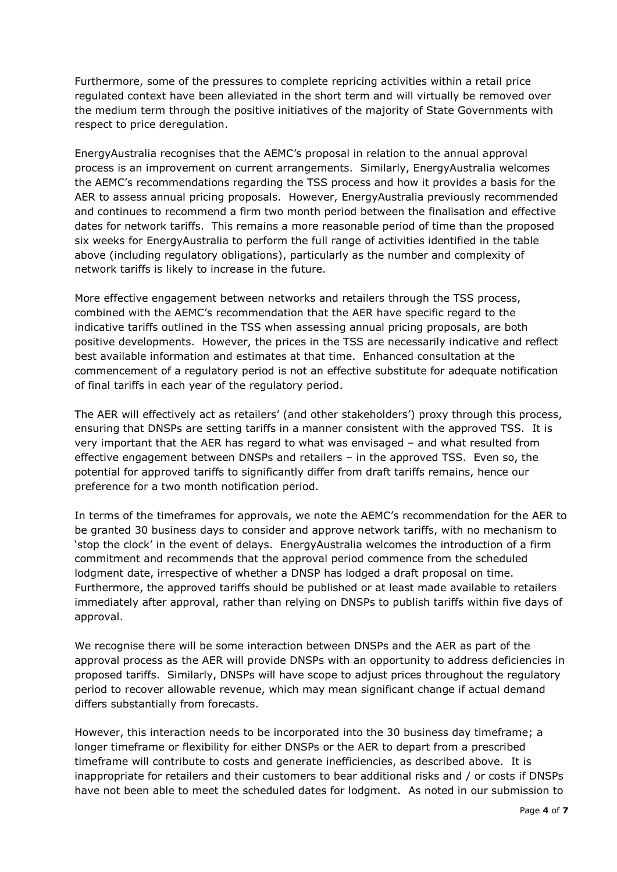Furthermore, some of the pressures to complete repricing activities within a retail price regulated context have been alleviated in the short term and will virtually be removed over the medium term through the positive initiatives of the majority of State Governments with respect to price deregulation.

EnergyAustralia recognises that the AEMC's proposal in relation to the annual approval process is an improvement on current arrangements. Similarly, EnergyAustralia welcomes the AEMC's recommendations regarding the TSS process and how it provides a basis for the AER to assess annual pricing proposals. However, EnergyAustralia previously recommended and continues to recommend a firm two month period between the finalisation and effective dates for network tariffs. This remains a more reasonable period of time than the proposed six weeks for EnergyAustralia to perform the full range of activities identified in the table above (including regulatory obligations), particularly as the number and complexity of network tariffs is likely to increase in the future.

More effective engagement between networks and retailers through the TSS process, combined with the AEMC's recommendation that the AER have specific regard to the indicative tariffs outlined in the TSS when assessing annual pricing proposals, are both positive developments. However, the prices in the TSS are necessarily indicative and reflect best available information and estimates at that time. Enhanced consultation at the commencement of a regulatory period is not an effective substitute for adequate notification of final tariffs in each year of the regulatory period.

The AER will effectively act as retailers' (and other stakeholders') proxy through this process, ensuring that DNSPs are setting tariffs in a manner consistent with the approved TSS. It is very important that the AER has regard to what was envisaged – and what resulted from effective engagement between DNSPs and retailers – in the approved TSS. Even so, the potential for approved tariffs to significantly differ from draft tariffs remains, hence our preference for a two month notification period.

In terms of the timeframes for approvals, we note the AEMC's recommendation for the AER to be granted 30 business days to consider and approve network tariffs, with no mechanism to 'stop the clock' in the event of delays. EnergyAustralia welcomes the introduction of a firm commitment and recommends that the approval period commence from the scheduled lodgment date, irrespective of whether a DNSP has lodged a draft proposal on time. Furthermore, the approved tariffs should be published or at least made available to retailers immediately after approval, rather than relying on DNSPs to publish tariffs within five days of approval.

We recognise there will be some interaction between DNSPs and the AER as part of the approval process as the AER will provide DNSPs with an opportunity to address deficiencies in proposed tariffs. Similarly, DNSPs will have scope to adjust prices throughout the regulatory period to recover allowable revenue, which may mean significant change if actual demand differs substantially from forecasts.

However, this interaction needs to be incorporated into the 30 business day timeframe; a longer timeframe or flexibility for either DNSPs or the AER to depart from a prescribed timeframe will contribute to costs and generate inefficiencies, as described above. It is inappropriate for retailers and their customers to bear additional risks and / or costs if DNSPs have not been able to meet the scheduled dates for lodgment. As noted in our submission to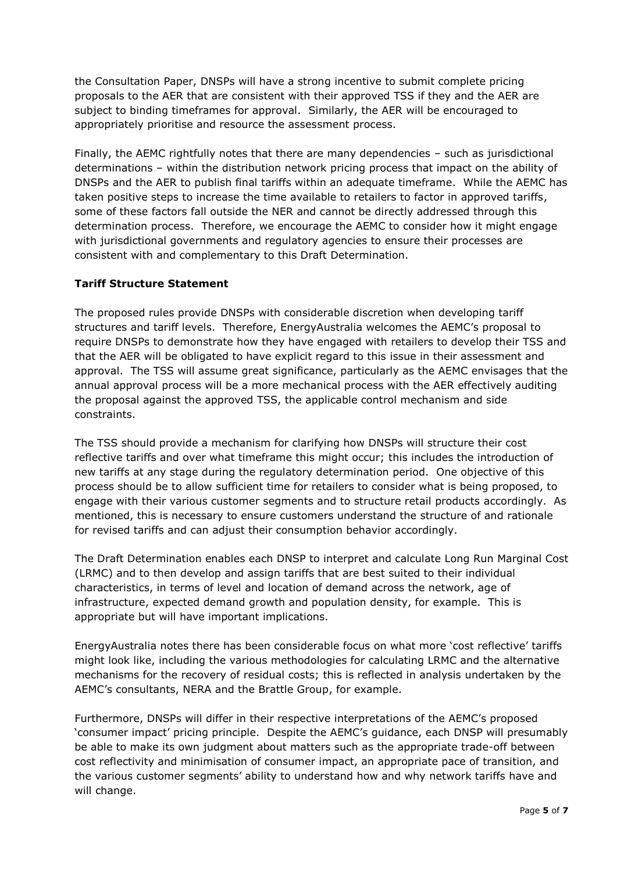the Consultation Paper, DNSPs will have a strong incentive to submit complete pricing proposals to the AER that are consistent with their approved TSS if they and the AER are subject to binding timeframes for approval. Similarly, the AER will be encouraged to appropriately prioritise and resource the assessment process.

Finally, the AEMC rightfully notes that there are many dependencies – such as jurisdictional determinations – within the distribution network pricing process that impact on the ability of DNSPs and the AER to publish final tariffs within an adequate timeframe. While the AEMC has taken positive steps to increase the time available to retailers to factor in approved tariffs, some of these factors fall outside the NER and cannot be directly addressed through this determination process. Therefore, we encourage the AEMC to consider how it might engage with jurisdictional governments and regulatory agencies to ensure their processes are consistent with and complementary to this Draft Determination.

## **Tariff Structure Statement**

The proposed rules provide DNSPs with considerable discretion when developing tariff structures and tariff levels. Therefore, EnergyAustralia welcomes the AEMC's proposal to require DNSPs to demonstrate how they have engaged with retailers to develop their TSS and that the AER will be obligated to have explicit regard to this issue in their assessment and approval. The TSS will assume great significance, particularly as the AEMC envisages that the annual approval process will be a more mechanical process with the AER effectively auditing the proposal against the approved TSS, the applicable control mechanism and side constraints.

The TSS should provide a mechanism for clarifying how DNSPs will structure their cost reflective tariffs and over what timeframe this might occur; this includes the introduction of new tariffs at any stage during the regulatory determination period. One objective of this process should be to allow sufficient time for retailers to consider what is being proposed, to engage with their various customer segments and to structure retail products accordingly. As mentioned, this is necessary to ensure customers understand the structure of and rationale for revised tariffs and can adjust their consumption behavior accordingly.

The Draft Determination enables each DNSP to interpret and calculate Long Run Marginal Cost (LRMC) and to then develop and assign tariffs that are best suited to their individual characteristics, in terms of level and location of demand across the network, age of infrastructure, expected demand growth and population density, for example. This is appropriate but will have important implications.

EnergyAustralia notes there has been considerable focus on what more 'cost reflective' tariffs might look like, including the various methodologies for calculating LRMC and the alternative mechanisms for the recovery of residual costs; this is reflected in analysis undertaken by the AEMC's consultants, NERA and the Brattle Group, for example.

Furthermore, DNSPs will differ in their respective interpretations of the AEMC's proposed 'consumer impact' pricing principle. Despite the AEMC's guidance, each DNSP will presumably be able to make its own judgment about matters such as the appropriate trade-off between cost reflectivity and minimisation of consumer impact, an appropriate pace of transition, and the various customer segments' ability to understand how and why network tariffs have and will change.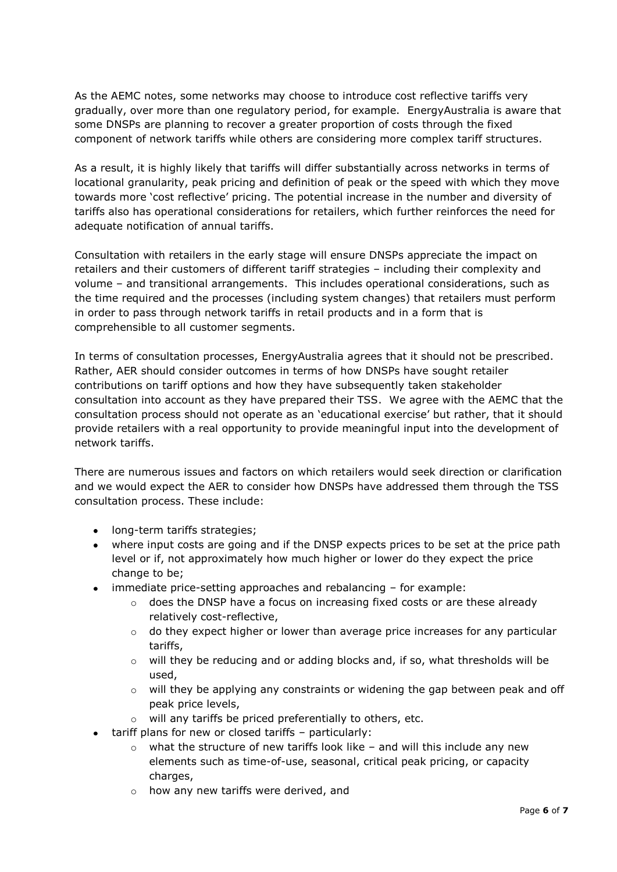As the AEMC notes, some networks may choose to introduce cost reflective tariffs very gradually, over more than one regulatory period, for example. EnergyAustralia is aware that some DNSPs are planning to recover a greater proportion of costs through the fixed component of network tariffs while others are considering more complex tariff structures.

As a result, it is highly likely that tariffs will differ substantially across networks in terms of locational granularity, peak pricing and definition of peak or the speed with which they move towards more 'cost reflective' pricing. The potential increase in the number and diversity of tariffs also has operational considerations for retailers, which further reinforces the need for adequate notification of annual tariffs.

Consultation with retailers in the early stage will ensure DNSPs appreciate the impact on retailers and their customers of different tariff strategies – including their complexity and volume – and transitional arrangements. This includes operational considerations, such as the time required and the processes (including system changes) that retailers must perform in order to pass through network tariffs in retail products and in a form that is comprehensible to all customer segments.

In terms of consultation processes, EnergyAustralia agrees that it should not be prescribed. Rather, AER should consider outcomes in terms of how DNSPs have sought retailer contributions on tariff options and how they have subsequently taken stakeholder consultation into account as they have prepared their TSS. We agree with the AEMC that the consultation process should not operate as an 'educational exercise' but rather, that it should provide retailers with a real opportunity to provide meaningful input into the development of network tariffs.

There are numerous issues and factors on which retailers would seek direction or clarification and we would expect the AER to consider how DNSPs have addressed them through the TSS consultation process. These include:

- long-term tariffs strategies;
- where input costs are going and if the DNSP expects prices to be set at the price path level or if, not approximately how much higher or lower do they expect the price change to be;
- immediate price-setting approaches and rebalancing for example:
	- $\circ$  does the DNSP have a focus on increasing fixed costs or are these already relatively cost-reflective,
	- $\circ$  do they expect higher or lower than average price increases for any particular tariffs,
	- $\circ$  will they be reducing and or adding blocks and, if so, what thresholds will be used,
	- $\circ$  will they be applying any constraints or widening the gap between peak and off peak price levels,
	- o will any tariffs be priced preferentially to others, etc.
- tariff plans for new or closed tariffs particularly:
	- $\circ$  what the structure of new tariffs look like and will this include any new elements such as time-of-use, seasonal, critical peak pricing, or capacity charges,
	- o how any new tariffs were derived, and